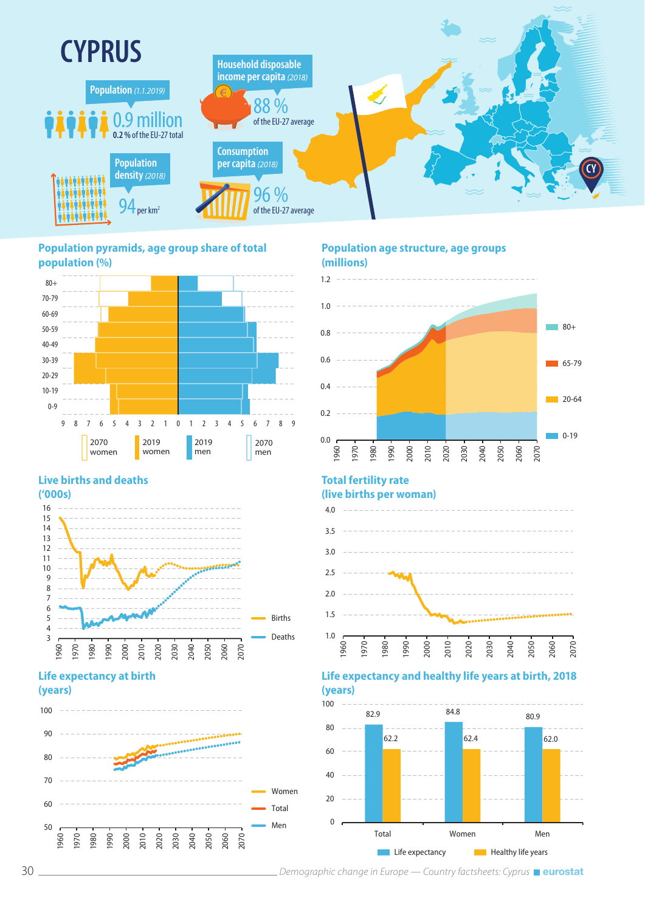

#### **Population pyramids, age group share of total population (%)**



# **Live births and deaths**



## **Life expectancy at birth (years)**



### **Population age structure, age groups (millions)**



# **Total fertility rate**

#### **(live births per woman)** 4.0 3.5 \_\_\_\_\_\_\_\_\_\_\_ 3.0  $2.5$ 2.0 1.5 1.0 2010 2030 2040 1970 1980 1990 2000 2020 2050 1960 2060 2070

# **Life expectancy and healthy life years at birth, 2018 (years)**



30 *Demographic change in Europe — Country factsheets: Cyprus*